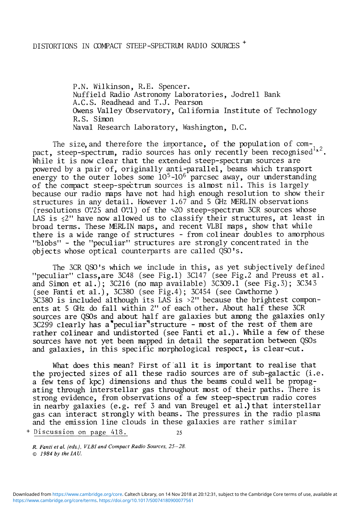## DISTORTIONS IN COMPACT STEEP-SPECTRUM RADIO SOURCES '

P.N. Wilkinson, R.E. Spencer. Nuffield Radio Astronomy Laboratories, Jodrell Bank A.C.S. Readhead and T.J. Pearson Owens Valley Observatory, California Institute of Technology R.S. Simon Naval Research Laboratory, Washington, D.C

The size, and therefore the importance, of the population of compact, steep-spectrum, radio sources has only recently been recognised<sup>1,2</sup>. While it is now clear that the extended steep-spectrum sources are powered by a pair of, originally anti-parallel, beams which transport energy to the outer lobes some  $10^5$ -10<sup>6</sup> parcsec away, our understanding of the compact steep-spectrum sources is almost nil. This is largely because our radio maps have not had high enough resolution to show their structures in any detail. However 1.67 and 5 GHz MERLIN observations (resolutions  $0\rlap{.}^{\prime\prime}25$  and  $0\rlap{.}^{\prime\prime}1$ ) of the  $\sim$ 20 steep-spectrum 3CR sources whose LAS is  $\leq 2$ " have now allowed us to classify their structures, at least in broad terms. These MERLIN maps, and recent VLBI maps, show that while there is a wide range of structures - from colinear doubles to amorphous "blobs" - the "peculiar" structures are strongly concentrated in the objects whose optical counterparts are called QS0!s.

The 3CR QSO's which we include in this, as yet subjectively defined "peculiar" class.are 3C48 (see Fig.l) 3C147 (see Fig.2 and Preuss et al. and Simon et al.); 3C216 (no map available)  $3C309.1$  (see Fig.3); 3C343 (see Fanti et al.), 3C380 (see Fig.4); 3C454 (see Cawthorne )  $3C380$  is included although its LAS is  $>2$ " because the brightest components at 5 GHz do fall within 2" of each other. About half these 3CR sources are QSOs and about half are galaxies but among the galaxies only  $3C299$  clearly has a peculiar structure - most of the rest of them are rather colinear and undistorted (see Fanti et al.). While a few of these sources have not yet been mapped in detail the separation between QSOs and galaxies, in this specific morphological respect, is clear-cut.

What does this mean? First of all it is important to realise that the projected sizes of all these radio sources are of sub-galactic (i.e. a few tens of kpc) dimensions and thus the beams could well be propagating through interstellar gas throughout most of their paths. There is strong evidence, from observations of a few steep-spectrum radio cores in nearby galaxies (e.g. ref 3 and van Breugel et al.) that interstellar gas can interact strongly with beams. The pressures in the radio plasma and the emission line clouds in these galaxies are rather similar

+ Discussion on page 418. 25

*R. Fanti et al. (eds.), VLBI and Compact Radio Sources, 25-28. © 1984 by the IAU.*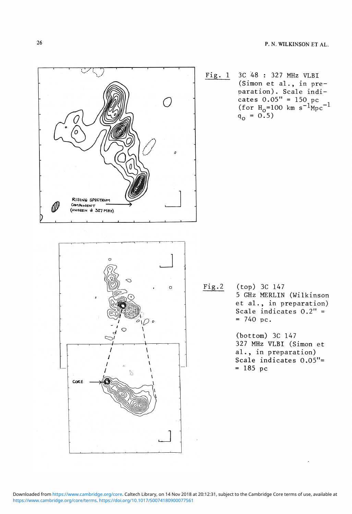

[https://www.cambridge.org/core/terms.](https://www.cambridge.org/core/terms) <https://doi.org/10.1017/S0074180900077561> Downloaded from [https://www.cambridge.org/core.](https://www.cambridge.org/core) Caltech Library, on 14 Nov 2018 at 20:12:31, subject to the Cambridge Core terms of use, available at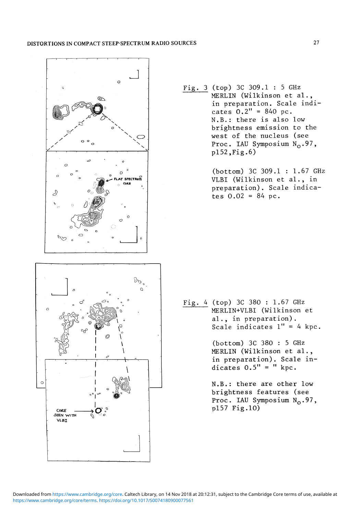## **DISTORTIONS IN COMPACT STEEP-SPECTRUM RADIO SOURCES 27**



Fig. (top) 3C 309.1 : 5 GHz MERLIN (Wilkinson et al., in preparation. Scale indicates  $0.2" = 840$  pc. N.B.: there is also low brightness emission to the west of the nucleus (see Proc. IAU Symposium  $N_0.97$ ,  $p152, Fig.6)$ 

> (bottom) 3C 309.1 : 1.67 GHz VLBI (Wilkinson et al., in preparation). Scale indicates  $0.02 = 84$  pc.

Fig. 4 (top) 3C 380 : 1.67 GHz MERLIN+VLBI (Wilkinson et al., in preparation). Scale indicates  $1'' = 4$  kpc.

> (bottom) 3C 380 : 5 GHz MERLIN (Wilkinson et al., in preparation). Scale indicates  $0.5" = " kpc.$

> N.B.: there are other low brightness features (see Proc. IAU Symposium  $N_0$ .97, pl57 Fig.10)